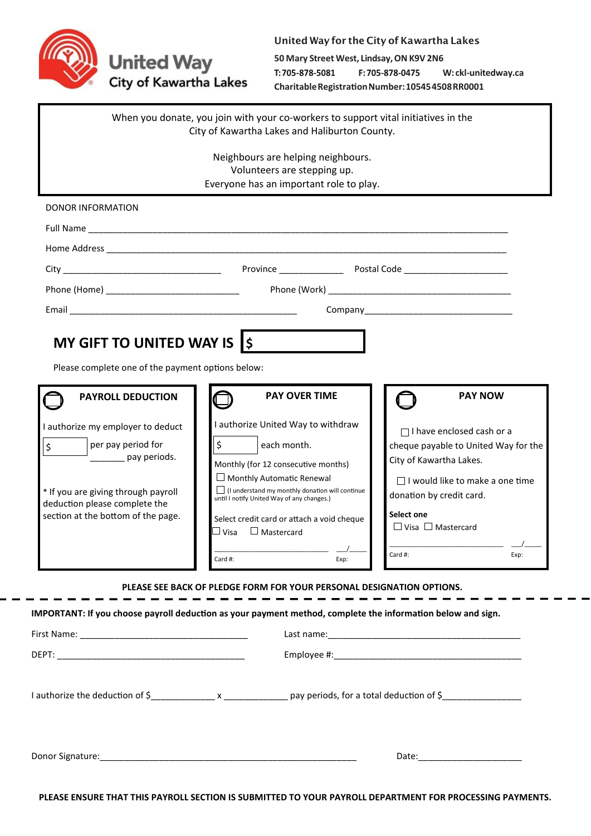

## United Way for the City of Kawartha Lakes

**50 Mary Street West, Lindsay, ON K9V 2N6** T:705-878-5081 F: 705-878-0475 **W: ckl-unitedway.ca Charitable Registration Number: 10545 4508 RR0001**

|                                                                                                                                                                                                             | When you donate, you join with your co-workers to support vital initiatives in the<br>City of Kawartha Lakes and Haliburton County.                                                                                                                                                                                                          |                                                                                                                                                                                                                                             |
|-------------------------------------------------------------------------------------------------------------------------------------------------------------------------------------------------------------|----------------------------------------------------------------------------------------------------------------------------------------------------------------------------------------------------------------------------------------------------------------------------------------------------------------------------------------------|---------------------------------------------------------------------------------------------------------------------------------------------------------------------------------------------------------------------------------------------|
|                                                                                                                                                                                                             | Neighbours are helping neighbours.<br>Volunteers are stepping up.<br>Everyone has an important role to play.                                                                                                                                                                                                                                 |                                                                                                                                                                                                                                             |
| DONOR INFORMATION                                                                                                                                                                                           |                                                                                                                                                                                                                                                                                                                                              |                                                                                                                                                                                                                                             |
|                                                                                                                                                                                                             |                                                                                                                                                                                                                                                                                                                                              |                                                                                                                                                                                                                                             |
|                                                                                                                                                                                                             |                                                                                                                                                                                                                                                                                                                                              |                                                                                                                                                                                                                                             |
| Phone (Home) <b>Example 2</b> Phone (Home)                                                                                                                                                                  |                                                                                                                                                                                                                                                                                                                                              |                                                                                                                                                                                                                                             |
|                                                                                                                                                                                                             |                                                                                                                                                                                                                                                                                                                                              |                                                                                                                                                                                                                                             |
| Please complete one of the payment options below:<br><b>PAYROLL DEDUCTION</b>                                                                                                                               | <b>PAY OVER TIME</b>                                                                                                                                                                                                                                                                                                                         | <b>PAY NOW</b>                                                                                                                                                                                                                              |
| I authorize my employer to deduct<br>per pay period for<br>$\zeta$<br>__________ pay periods.<br>* If you are giving through payroll<br>deduction please complete the<br>section at the bottom of the page. | I authorize United Way to withdraw<br>\$<br>each month.<br>Monthly (for 12 consecutive months)<br>$\Box$ Monthly Automatic Renewal<br>$\Box$ (I understand my monthly donation will continue<br>until I notify United Way of any changes.)<br>Select credit card or attach a void cheque<br>$\Box$ Visa $\Box$ Mastercard<br>Card #:<br>Exp: | $\Box$ I have enclosed cash or a<br>cheque payable to United Way for the<br>City of Kawartha Lakes.<br>$\Box$ I would like to make a one time<br>donation by credit card.<br>Select one<br>$\Box$ Visa $\Box$ Mastercard<br>Card #:<br>Exp: |
|                                                                                                                                                                                                             | PLEASE SEE BACK OF PLEDGE FORM FOR YOUR PERSONAL DESIGNATION OPTIONS.                                                                                                                                                                                                                                                                        |                                                                                                                                                                                                                                             |

**IMPORTANT: If you choose payroll deduction as your payment method, complete the information below and sign.**

| Date: ________________________ |
|--------------------------------|

**PLEASE ENSURE THAT THIS PAYROLL SECTION IS SUBMITTED TO YOUR PAYROLL DEPARTMENT FOR PROCESSING PAYMENTS.**